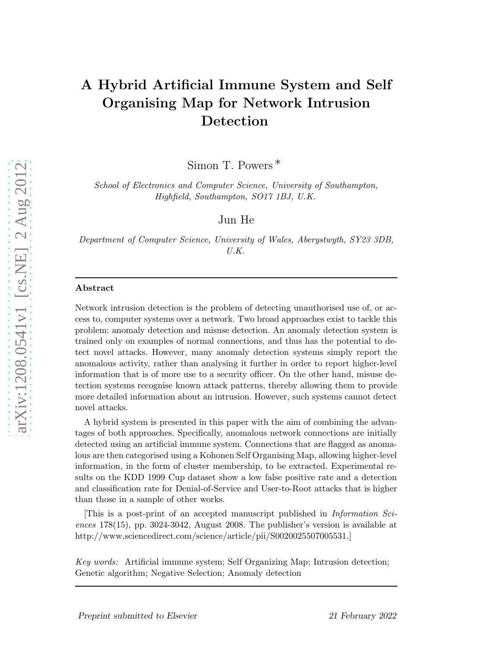# A Hybrid Artificial Immune System and Self Organising Map for Network Intrusion Detection

Simon T. Powers<sup>\*</sup>

*School of Electronics and Computer Science, University of Southampton, Highfield, Southampton, SO17 1BJ, U.K.*

Jun He

*Department of Computer Science, University of Wales, Aberystwyth, SY23 3DB, U.K.*

#### Abstract

Network intrusion detection is the problem of detecting unauthorised use of, or access to, computer systems over a network. Two broad approaches exist to tackle this problem: anomaly detection and misuse detection. An anomaly detection system is trained only on examples of normal connections, and thus has the potential to detect novel attacks. However, many anomaly detection systems simply report the anomalous activity, rather than analysing it further in order to report higher-level information that is of more use to a security officer. On the other hand, misuse detection systems recognise known attack patterns, thereby allowing them to provide more detailed information about an intrusion. However, such systems cannot detect novel attacks.

A hybrid system is presented in this paper with the aim of combining the advantages of both approaches. Specifically, anomalous network connections are initially detected using an artificial immune system. Connections that are flagged as anomalous are then categorised using a Kohonen Self Organising Map, allowing higher-level information, in the form of cluster membership, to be extracted. Experimental results on the KDD 1999 Cup dataset show a low false positive rate and a detection and classification rate for Denial-of-Service and User-to-Root attacks that is higher than those in a sample of other works.

[This is a post-print of an accepted manuscript published in *Information Sciences* 178(15), pp. 3024-3042, August 2008. The publisher's version is available at http://www.sciencedirect.com/science/article/pii/S0020025507005531.

*Key words:* Artificial immune system; Self Organizing Map; Intrusion detection; Genetic algorithm; Negative Selection; Anomaly detection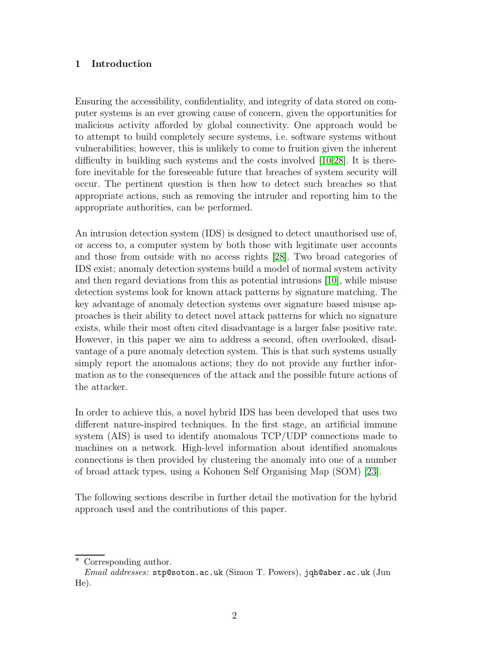# 1 Introduction

Ensuring the accessibility, confidentiality, and integrity of data stored on computer systems is an ever growing cause of concern, given the opportunities for malicious activity afforded by global connectivity. One approach would be to attempt to build completely secure systems, i.e. software systems without vulnerabilities; however, this is unlikely to come to fruition given the inherent difficulty in building such systems and the costs involved [\[10,](#page-29-0)[28\]](#page-30-0). It is therefore inevitable for the foreseeable future that breaches of system security will occur. The pertinent question is then how to detect such breaches so that appropriate actions, such as removing the intruder and reporting him to the appropriate authorities, can be performed.

An intrusion detection system (IDS) is designed to detect unauthorised use of, or access to, a computer system by both those with legitimate user accounts and those from outside with no access rights [\[28\]](#page-30-0). Two broad categories of IDS exist; anomaly detection systems build a model of normal system activity and then regard deviations from this as potential intrusions [\[10\]](#page-29-0), while misuse detection systems look for known attack patterns by signature matching. The key advantage of anomaly detection systems over signature based misuse approaches is their ability to detect novel attack patterns for which no signature exists, while their most often cited disadvantage is a larger false positive rate. However, in this paper we aim to address a second, often overlooked, disadvantage of a pure anomaly detection system. This is that such systems usually simply report the anomalous actions; they do not provide any further information as to the consequences of the attack and the possible future actions of the attacker.

In order to achieve this, a novel hybrid IDS has been developed that uses two different nature-inspired techniques. In the first stage, an artificial immune system (AIS) is used to identify anomalous TCP/UDP connections made to machines on a network. High-level information about identified anomalous connections is then provided by clustering the anomaly into one of a number of broad attack types, using a Kohonen Self Organising Map (SOM) [\[23\]](#page-30-1).

The following sections describe in further detail the motivation for the hybrid approach used and the contributions of this paper.

Corresponding author.

*Email addresses:* stp@soton.ac.uk (Simon T. Powers), jqh@aber.ac.uk (Jun He).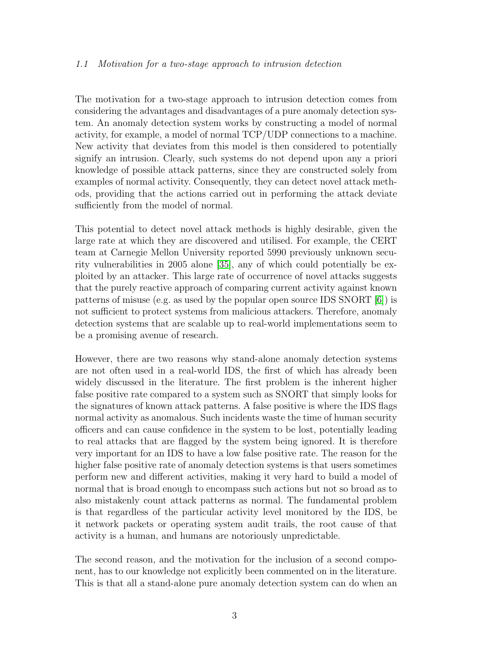#### 1.1 Motivation for a two-stage approach to intrusion detection

The motivation for a two-stage approach to intrusion detection comes from considering the advantages and disadvantages of a pure anomaly detection system. An anomaly detection system works by constructing a model of normal activity, for example, a model of normal TCP/UDP connections to a machine. New activity that deviates from this model is then considered to potentially signify an intrusion. Clearly, such systems do not depend upon any a priori knowledge of possible attack patterns, since they are constructed solely from examples of normal activity. Consequently, they can detect novel attack methods, providing that the actions carried out in performing the attack deviate sufficiently from the model of normal.

This potential to detect novel attack methods is highly desirable, given the large rate at which they are discovered and utilised. For example, the CERT team at Carnegie Mellon University reported 5990 previously unknown security vulnerabilities in 2005 alone [\[35\]](#page-31-0), any of which could potentially be exploited by an attacker. This large rate of occurrence of novel attacks suggests that the purely reactive approach of comparing current activity against known patterns of misuse (e.g. as used by the popular open source IDS SNORT [\[6\]](#page-29-1)) is not sufficient to protect systems from malicious attackers. Therefore, anomaly detection systems that are scalable up to real-world implementations seem to be a promising avenue of research.

However, there are two reasons why stand-alone anomaly detection systems are not often used in a real-world IDS, the first of which has already been widely discussed in the literature. The first problem is the inherent higher false positive rate compared to a system such as SNORT that simply looks for the signatures of known attack patterns. A false positive is where the IDS flags normal activity as anomalous. Such incidents waste the time of human security officers and can cause confidence in the system to be lost, potentially leading to real attacks that are flagged by the system being ignored. It is therefore very important for an IDS to have a low false positive rate. The reason for the higher false positive rate of anomaly detection systems is that users sometimes perform new and different activities, making it very hard to build a model of normal that is broad enough to encompass such actions but not so broad as to also mistakenly count attack patterns as normal. The fundamental problem is that regardless of the particular activity level monitored by the IDS, be it network packets or operating system audit trails, the root cause of that activity is a human, and humans are notoriously unpredictable.

The second reason, and the motivation for the inclusion of a second component, has to our knowledge not explicitly been commented on in the literature. This is that all a stand-alone pure anomaly detection system can do when an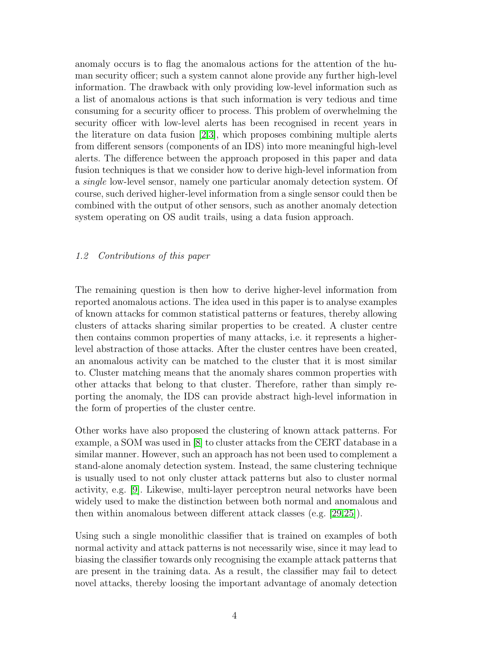anomaly occurs is to flag the anomalous actions for the attention of the human security officer; such a system cannot alone provide any further high-level information. The drawback with only providing low-level information such as a list of anomalous actions is that such information is very tedious and time consuming for a security officer to process. This problem of overwhelming the security officer with low-level alerts has been recognised in recent years in the literature on data fusion [\[2](#page-28-0)[,3\]](#page-28-1), which proposes combining multiple alerts from different sensors (components of an IDS) into more meaningful high-level alerts. The difference between the approach proposed in this paper and data fusion techniques is that we consider how to derive high-level information from a single low-level sensor, namely one particular anomaly detection system. Of course, such derived higher-level information from a single sensor could then be combined with the output of other sensors, such as another anomaly detection system operating on OS audit trails, using a data fusion approach.

#### 1.2 Contributions of this paper

The remaining question is then how to derive higher-level information from reported anomalous actions. The idea used in this paper is to analyse examples of known attacks for common statistical patterns or features, thereby allowing clusters of attacks sharing similar properties to be created. A cluster centre then contains common properties of many attacks, i.e. it represents a higherlevel abstraction of those attacks. After the cluster centres have been created, an anomalous activity can be matched to the cluster that it is most similar to. Cluster matching means that the anomaly shares common properties with other attacks that belong to that cluster. Therefore, rather than simply reporting the anomaly, the IDS can provide abstract high-level information in the form of properties of the cluster centre.

Other works have also proposed the clustering of known attack patterns. For example, a SOM was used in [\[8\]](#page-29-2) to cluster attacks from the CERT database in a similar manner. However, such an approach has not been used to complement a stand-alone anomaly detection system. Instead, the same clustering technique is usually used to not only cluster attack patterns but also to cluster normal activity, e.g. [\[9\]](#page-29-3). Likewise, multi-layer perceptron neural networks have been widely used to make the distinction between both normal and anomalous and then within anomalous between different attack classes (e.g. [\[29,](#page-30-2)[25\]](#page-30-3)).

Using such a single monolithic classifier that is trained on examples of both normal activity and attack patterns is not necessarily wise, since it may lead to biasing the classifier towards only recognising the example attack patterns that are present in the training data. As a result, the classifier may fail to detect novel attacks, thereby loosing the important advantage of anomaly detection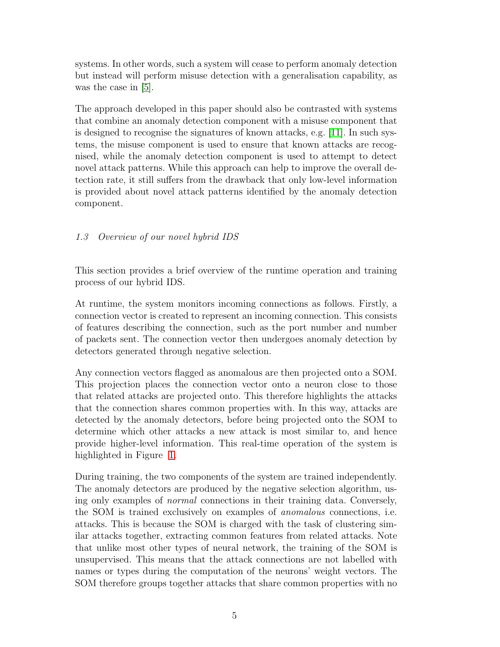systems. In other words, such a system will cease to perform anomaly detection but instead will perform misuse detection with a generalisation capability, as was the case in [\[5\]](#page-28-2).

The approach developed in this paper should also be contrasted with systems that combine an anomaly detection component with a misuse component that is designed to recognise the signatures of known attacks, e.g. [\[11\]](#page-29-4). In such systems, the misuse component is used to ensure that known attacks are recognised, while the anomaly detection component is used to attempt to detect novel attack patterns. While this approach can help to improve the overall detection rate, it still suffers from the drawback that only low-level information is provided about novel attack patterns identified by the anomaly detection component.

# 1.3 Overview of our novel hybrid IDS

This section provides a brief overview of the runtime operation and training process of our hybrid IDS.

At runtime, the system monitors incoming connections as follows. Firstly, a connection vector is created to represent an incoming connection. This consists of features describing the connection, such as the port number and number of packets sent. The connection vector then undergoes anomaly detection by detectors generated through negative selection.

Any connection vectors flagged as anomalous are then projected onto a SOM. This projection places the connection vector onto a neuron close to those that related attacks are projected onto. This therefore highlights the attacks that the connection shares common properties with. In this way, attacks are detected by the anomaly detectors, before being projected onto the SOM to determine which other attacks a new attack is most similar to, and hence provide higher-level information. This real-time operation of the system is highlighted in Figure [1.](#page-5-0)

During training, the two components of the system are trained independently. The anomaly detectors are produced by the negative selection algorithm, using only examples of normal connections in their training data. Conversely, the SOM is trained exclusively on examples of anomalous connections, i.e. attacks. This is because the SOM is charged with the task of clustering similar attacks together, extracting common features from related attacks. Note that unlike most other types of neural network, the training of the SOM is unsupervised. This means that the attack connections are not labelled with names or types during the computation of the neurons' weight vectors. The SOM therefore groups together attacks that share common properties with no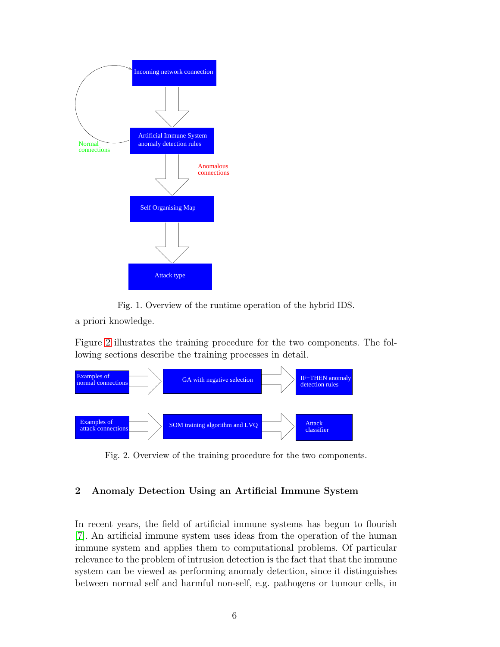

<span id="page-5-0"></span>Fig. 1. Overview of the runtime operation of the hybrid IDS.

a priori knowledge.

Figure [2](#page-5-1) illustrates the training procedure for the two components. The following sections describe the training processes in detail.



<span id="page-5-1"></span>Fig. 2. Overview of the training procedure for the two components.

# <span id="page-5-2"></span>2 Anomaly Detection Using an Artificial Immune System

In recent years, the field of artificial immune systems has begun to flourish [\[7\]](#page-29-5). An artificial immune system uses ideas from the operation of the human immune system and applies them to computational problems. Of particular relevance to the problem of intrusion detection is the fact that that the immune system can be viewed as performing anomaly detection, since it distinguishes between normal self and harmful non-self, e.g. pathogens or tumour cells, in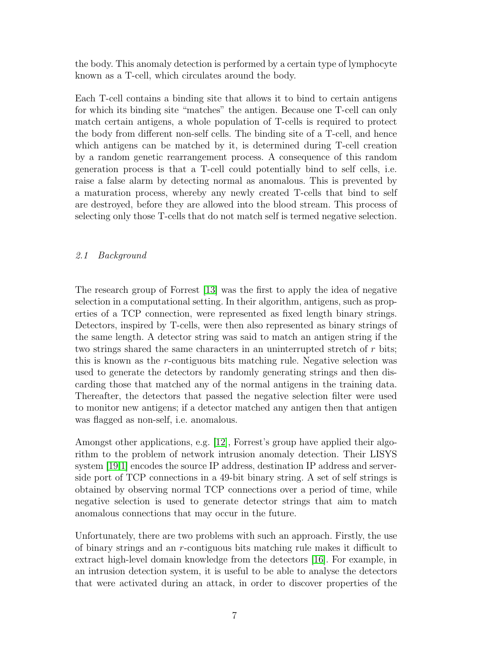the body. This anomaly detection is performed by a certain type of lymphocyte known as a T-cell, which circulates around the body.

Each T-cell contains a binding site that allows it to bind to certain antigens for which its binding site "matches" the antigen. Because one T-cell can only match certain antigens, a whole population of T-cells is required to protect the body from different non-self cells. The binding site of a T-cell, and hence which antigens can be matched by it, is determined during T-cell creation by a random genetic rearrangement process. A consequence of this random generation process is that a T-cell could potentially bind to self cells, i.e. raise a false alarm by detecting normal as anomalous. This is prevented by a maturation process, whereby any newly created T-cells that bind to self are destroyed, before they are allowed into the blood stream. This process of selecting only those T-cells that do not match self is termed negative selection.

# 2.1 Background

The research group of Forrest [\[13\]](#page-29-6) was the first to apply the idea of negative selection in a computational setting. In their algorithm, antigens, such as properties of a TCP connection, were represented as fixed length binary strings. Detectors, inspired by T-cells, were then also represented as binary strings of the same length. A detector string was said to match an antigen string if the two strings shared the same characters in an uninterrupted stretch of  $r$  bits; this is known as the r-contiguous bits matching rule. Negative selection was used to generate the detectors by randomly generating strings and then discarding those that matched any of the normal antigens in the training data. Thereafter, the detectors that passed the negative selection filter were used to monitor new antigens; if a detector matched any antigen then that antigen was flagged as non-self, i.e. anomalous.

Amongst other applications, e.g. [\[12\]](#page-29-7), Forrest's group have applied their algorithm to the problem of network intrusion anomaly detection. Their LISYS system [\[19,](#page-29-8)[1\]](#page-28-3) encodes the source IP address, destination IP address and serverside port of TCP connections in a 49-bit binary string. A set of self strings is obtained by observing normal TCP connections over a period of time, while negative selection is used to generate detector strings that aim to match anomalous connections that may occur in the future.

Unfortunately, there are two problems with such an approach. Firstly, the use of binary strings and an r-contiguous bits matching rule makes it difficult to extract high-level domain knowledge from the detectors [\[16\]](#page-29-9). For example, in an intrusion detection system, it is useful to be able to analyse the detectors that were activated during an attack, in order to discover properties of the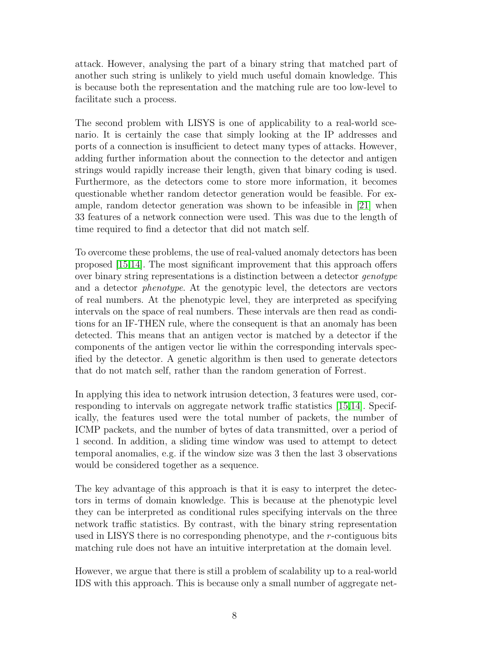attack. However, analysing the part of a binary string that matched part of another such string is unlikely to yield much useful domain knowledge. This is because both the representation and the matching rule are too low-level to facilitate such a process.

The second problem with LISYS is one of applicability to a real-world scenario. It is certainly the case that simply looking at the IP addresses and ports of a connection is insufficient to detect many types of attacks. However, adding further information about the connection to the detector and antigen strings would rapidly increase their length, given that binary coding is used. Furthermore, as the detectors come to store more information, it becomes questionable whether random detector generation would be feasible. For example, random detector generation was shown to be infeasible in [\[21\]](#page-30-4) when 33 features of a network connection were used. This was due to the length of time required to find a detector that did not match self.

To overcome these problems, the use of real-valued anomaly detectors has been proposed [\[15,](#page-29-10)[14\]](#page-29-11). The most significant improvement that this approach offers over binary string representations is a distinction between a detector genotype and a detector phenotype. At the genotypic level, the detectors are vectors of real numbers. At the phenotypic level, they are interpreted as specifying intervals on the space of real numbers. These intervals are then read as conditions for an IF-THEN rule, where the consequent is that an anomaly has been detected. This means that an antigen vector is matched by a detector if the components of the antigen vector lie within the corresponding intervals specified by the detector. A genetic algorithm is then used to generate detectors that do not match self, rather than the random generation of Forrest.

In applying this idea to network intrusion detection, 3 features were used, corresponding to intervals on aggregate network traffic statistics [\[15,](#page-29-10)[14\]](#page-29-11). Specifically, the features used were the total number of packets, the number of ICMP packets, and the number of bytes of data transmitted, over a period of 1 second. In addition, a sliding time window was used to attempt to detect temporal anomalies, e.g. if the window size was 3 then the last 3 observations would be considered together as a sequence.

The key advantage of this approach is that it is easy to interpret the detectors in terms of domain knowledge. This is because at the phenotypic level they can be interpreted as conditional rules specifying intervals on the three network traffic statistics. By contrast, with the binary string representation used in LISYS there is no corresponding phenotype, and the r-contiguous bits matching rule does not have an intuitive interpretation at the domain level.

However, we argue that there is still a problem of scalability up to a real-world IDS with this approach. This is because only a small number of aggregate net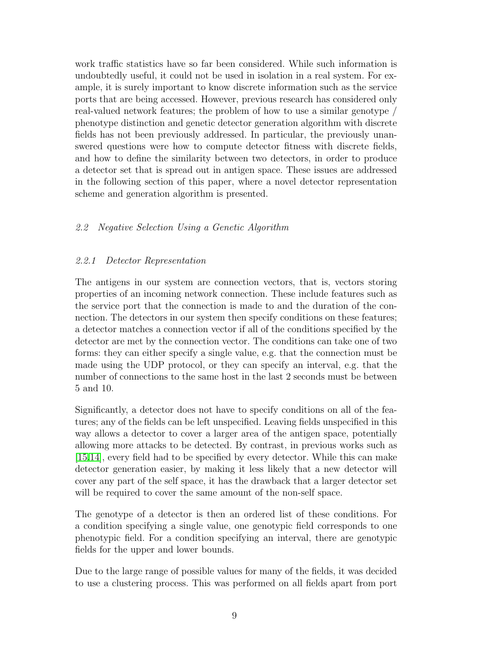work traffic statistics have so far been considered. While such information is undoubtedly useful, it could not be used in isolation in a real system. For example, it is surely important to know discrete information such as the service ports that are being accessed. However, previous research has considered only real-valued network features; the problem of how to use a similar genotype / phenotype distinction and genetic detector generation algorithm with discrete fields has not been previously addressed. In particular, the previously unanswered questions were how to compute detector fitness with discrete fields, and how to define the similarity between two detectors, in order to produce a detector set that is spread out in antigen space. These issues are addressed in the following section of this paper, where a novel detector representation scheme and generation algorithm is presented.

# <span id="page-8-0"></span>2.2 Negative Selection Using a Genetic Algorithm

# 2.2.1 Detector Representation

The antigens in our system are connection vectors, that is, vectors storing properties of an incoming network connection. These include features such as the service port that the connection is made to and the duration of the connection. The detectors in our system then specify conditions on these features; a detector matches a connection vector if all of the conditions specified by the detector are met by the connection vector. The conditions can take one of two forms: they can either specify a single value, e.g. that the connection must be made using the UDP protocol, or they can specify an interval, e.g. that the number of connections to the same host in the last 2 seconds must be between 5 and 10.

Significantly, a detector does not have to specify conditions on all of the features; any of the fields can be left unspecified. Leaving fields unspecified in this way allows a detector to cover a larger area of the antigen space, potentially allowing more attacks to be detected. By contrast, in previous works such as [\[15](#page-29-10)[,14\]](#page-29-11), every field had to be specified by every detector. While this can make detector generation easier, by making it less likely that a new detector will cover any part of the self space, it has the drawback that a larger detector set will be required to cover the same amount of the non-self space.

The genotype of a detector is then an ordered list of these conditions. For a condition specifying a single value, one genotypic field corresponds to one phenotypic field. For a condition specifying an interval, there are genotypic fields for the upper and lower bounds.

Due to the large range of possible values for many of the fields, it was decided to use a clustering process. This was performed on all fields apart from port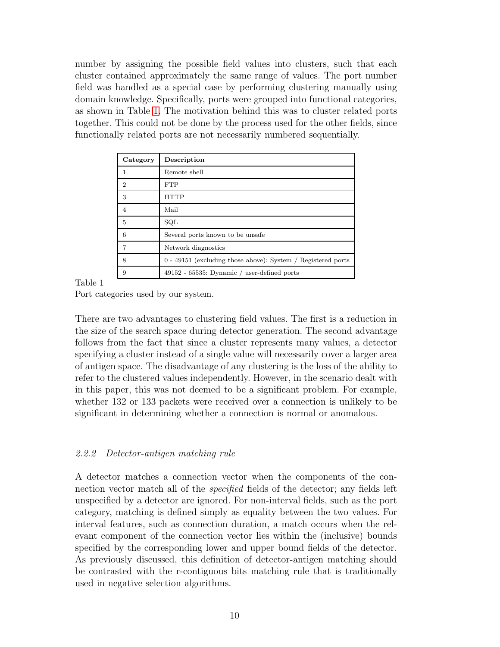number by assigning the possible field values into clusters, such that each cluster contained approximately the same range of values. The port number field was handled as a special case by performing clustering manually using domain knowledge. Specifically, ports were grouped into functional categories, as shown in Table [1.](#page-9-0) The motivation behind this was to cluster related ports together. This could not be done by the process used for the other fields, since functionally related ports are not necessarily numbered sequentially.

| Category       | Description                                                  |
|----------------|--------------------------------------------------------------|
| 1              | Remote shell                                                 |
| $\overline{2}$ | <b>FTP</b>                                                   |
| 3              | <b>HTTP</b>                                                  |
| $\overline{4}$ | Mail                                                         |
| 5              | SQL                                                          |
| 6              | Several ports known to be unsafe                             |
| $\overline{7}$ | Network diagnostics                                          |
| 8              | 0 - 49151 (excluding those above): System / Registered ports |
| 9              | $49152 - 65535$ : Dynamic / user-defined ports               |

Table 1

<span id="page-9-0"></span>Port categories used by our system.

There are two advantages to clustering field values. The first is a reduction in the size of the search space during detector generation. The second advantage follows from the fact that since a cluster represents many values, a detector specifying a cluster instead of a single value will necessarily cover a larger area of antigen space. The disadvantage of any clustering is the loss of the ability to refer to the clustered values independently. However, in the scenario dealt with in this paper, this was not deemed to be a significant problem. For example, whether 132 or 133 packets were received over a connection is unlikely to be significant in determining whether a connection is normal or anomalous.

# 2.2.2 Detector-antigen matching rule

A detector matches a connection vector when the components of the connection vector match all of the specified fields of the detector; any fields left unspecified by a detector are ignored. For non-interval fields, such as the port category, matching is defined simply as equality between the two values. For interval features, such as connection duration, a match occurs when the relevant component of the connection vector lies within the (inclusive) bounds specified by the corresponding lower and upper bound fields of the detector. As previously discussed, this definition of detector-antigen matching should be contrasted with the r-contiguous bits matching rule that is traditionally used in negative selection algorithms.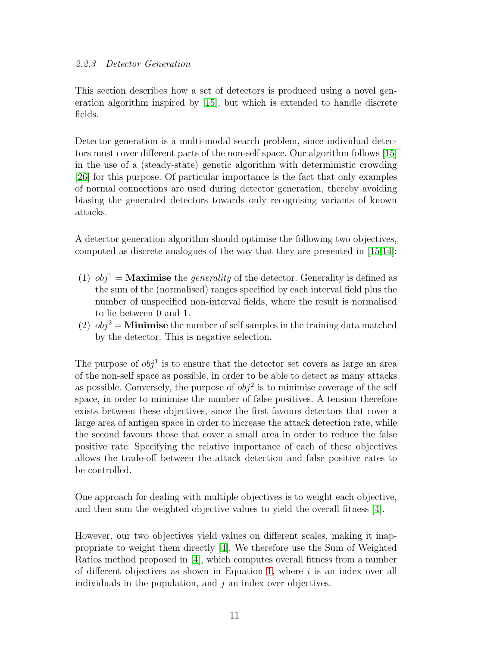# 2.2.3 Detector Generation

This section describes how a set of detectors is produced using a novel generation algorithm inspired by [\[15\]](#page-29-10), but which is extended to handle discrete fields.

Detector generation is a multi-modal search problem, since individual detectors must cover different parts of the non-self space. Our algorithm follows [\[15\]](#page-29-10) in the use of a (steady-state) genetic algorithm with deterministic crowding [\[26\]](#page-30-5) for this purpose. Of particular importance is the fact that only examples of normal connections are used during detector generation, thereby avoiding biasing the generated detectors towards only recognising variants of known attacks.

A detector generation algorithm should optimise the following two objectives, computed as discrete analogues of the way that they are presented in [\[15](#page-29-10)[,14\]](#page-29-11):

- (1)  $obj^1 =$  **Maximise** the *generality* of the detector. Generality is defined as the sum of the (normalised) ranges specified by each interval field plus the number of unspecified non-interval fields, where the result is normalised to lie between 0 and 1.
- (2)  $\omega b_i^2 =$ **Minimise** the number of self samples in the training data matched by the detector. This is negative selection.

The purpose of  $obj<sup>1</sup>$  is to ensure that the detector set covers as large an area of the non-self space as possible, in order to be able to detect as many attacks as possible. Conversely, the purpose of  $obj^2$  is to minimise coverage of the self space, in order to minimise the number of false positives. A tension therefore exists between these objectives, since the first favours detectors that cover a large area of antigen space in order to increase the attack detection rate, while the second favours those that cover a small area in order to reduce the false positive rate. Specifying the relative importance of each of these objectives allows the trade-off between the attack detection and false positive rates to be controlled.

One approach for dealing with multiple objectives is to weight each objective, and then sum the weighted objective values to yield the overall fitness [\[4\]](#page-28-4).

However, our two objectives yield values on different scales, making it inappropriate to weight them directly [\[4\]](#page-28-4). We therefore use the Sum of Weighted Ratios method proposed in [\[4\]](#page-28-4), which computes overall fitness from a number of different objectives as shown in Equation [1,](#page-11-0) where  $i$  is an index over all individuals in the population, and  $j$  an index over objectives.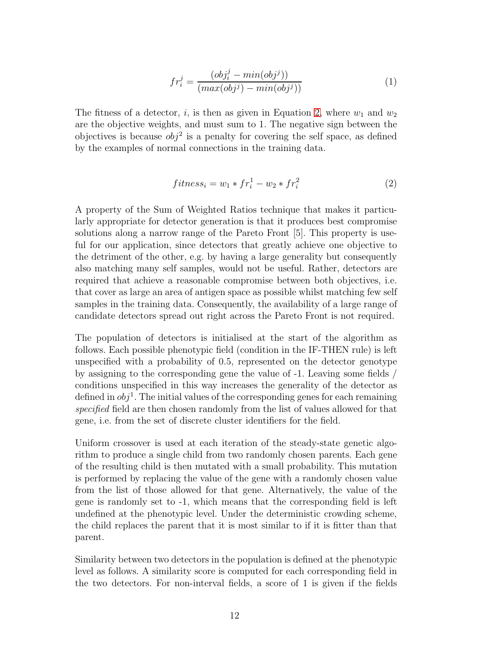<span id="page-11-0"></span>
$$
fr_i^j = \frac{(obj_i^j - min(obj^j))}{(max(obj^j) - min(obj^j))}
$$
 (1)

The fitness of a detector, i, is then as given in Equation [2,](#page-11-1) where  $w_1$  and  $w_2$ are the objective weights, and must sum to 1. The negative sign between the objectives is because  $obj^2$  is a penalty for covering the self space, as defined by the examples of normal connections in the training data.

<span id="page-11-1"></span>
$$
fitness_i = w_1 * fr_i^1 - w_2 * fr_i^2 \tag{2}
$$

A property of the Sum of Weighted Ratios technique that makes it particularly appropriate for detector generation is that it produces best compromise solutions along a narrow range of the Pareto Front [5]. This property is useful for our application, since detectors that greatly achieve one objective to the detriment of the other, e.g. by having a large generality but consequently also matching many self samples, would not be useful. Rather, detectors are required that achieve a reasonable compromise between both objectives, i.e. that cover as large an area of antigen space as possible whilst matching few self samples in the training data. Consequently, the availability of a large range of candidate detectors spread out right across the Pareto Front is not required.

The population of detectors is initialised at the start of the algorithm as follows. Each possible phenotypic field (condition in the IF-THEN rule) is left unspecified with a probability of 0.5, represented on the detector genotype by assigning to the corresponding gene the value of -1. Leaving some fields / conditions unspecified in this way increases the generality of the detector as defined in  $obj^1$ . The initial values of the corresponding genes for each remaining specified field are then chosen randomly from the list of values allowed for that gene, i.e. from the set of discrete cluster identifiers for the field.

Uniform crossover is used at each iteration of the steady-state genetic algorithm to produce a single child from two randomly chosen parents. Each gene of the resulting child is then mutated with a small probability. This mutation is performed by replacing the value of the gene with a randomly chosen value from the list of those allowed for that gene. Alternatively, the value of the gene is randomly set to -1, which means that the corresponding field is left undefined at the phenotypic level. Under the deterministic crowding scheme, the child replaces the parent that it is most similar to if it is fitter than that parent.

Similarity between two detectors in the population is defined at the phenotypic level as follows. A similarity score is computed for each corresponding field in the two detectors. For non-interval fields, a score of 1 is given if the fields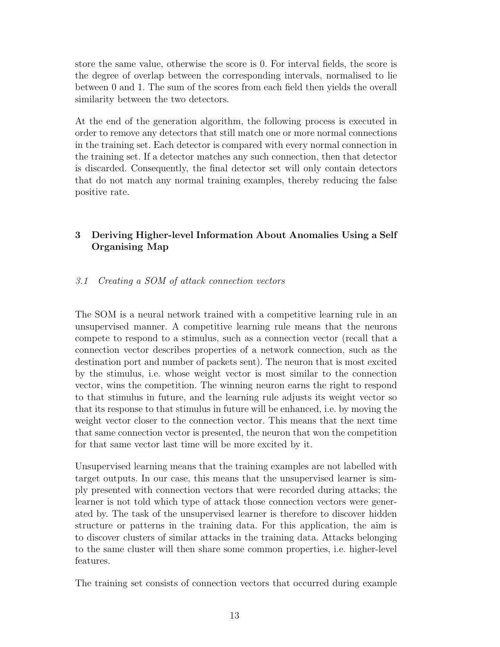store the same value, otherwise the score is 0. For interval fields, the score is the degree of overlap between the corresponding intervals, normalised to lie between 0 and 1. The sum of the scores from each field then yields the overall similarity between the two detectors.

At the end of the generation algorithm, the following process is executed in order to remove any detectors that still match one or more normal connections in the training set. Each detector is compared with every normal connection in the training set. If a detector matches any such connection, then that detector is discarded. Consequently, the final detector set will only contain detectors that do not match any normal training examples, thereby reducing the false positive rate.

# 3 Deriving Higher-level Information About Anomalies Using a Self Organising Map

# 3.1 Creating a SOM of attack connection vectors

The SOM is a neural network trained with a competitive learning rule in an unsupervised manner. A competitive learning rule means that the neurons compete to respond to a stimulus, such as a connection vector (recall that a connection vector describes properties of a network connection, such as the destination port and number of packets sent). The neuron that is most excited by the stimulus, i.e. whose weight vector is most similar to the connection vector, wins the competition. The winning neuron earns the right to respond to that stimulus in future, and the learning rule adjusts its weight vector so that its response to that stimulus in future will be enhanced, i.e. by moving the weight vector closer to the connection vector. This means that the next time that same connection vector is presented, the neuron that won the competition for that same vector last time will be more excited by it.

Unsupervised learning means that the training examples are not labelled with target outputs. In our case, this means that the unsupervised learner is simply presented with connection vectors that were recorded during attacks; the learner is not told which type of attack those connection vectors were generated by. The task of the unsupervised learner is therefore to discover hidden structure or patterns in the training data. For this application, the aim is to discover clusters of similar attacks in the training data. Attacks belonging to the same cluster will then share some common properties, i.e. higher-level features.

The training set consists of connection vectors that occurred during example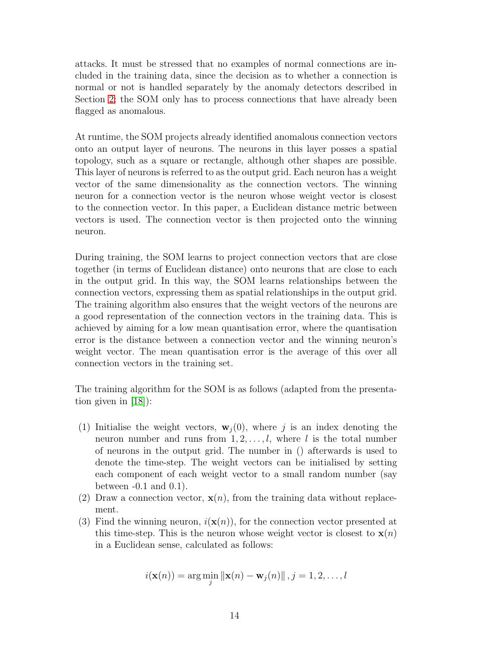attacks. It must be stressed that no examples of normal connections are included in the training data, since the decision as to whether a connection is normal or not is handled separately by the anomaly detectors described in Section [2;](#page-5-2) the SOM only has to process connections that have already been flagged as anomalous.

At runtime, the SOM projects already identified anomalous connection vectors onto an output layer of neurons. The neurons in this layer posses a spatial topology, such as a square or rectangle, although other shapes are possible. This layer of neurons is referred to as the output grid. Each neuron has a weight vector of the same dimensionality as the connection vectors. The winning neuron for a connection vector is the neuron whose weight vector is closest to the connection vector. In this paper, a Euclidean distance metric between vectors is used. The connection vector is then projected onto the winning neuron.

During training, the SOM learns to project connection vectors that are close together (in terms of Euclidean distance) onto neurons that are close to each in the output grid. In this way, the SOM learns relationships between the connection vectors, expressing them as spatial relationships in the output grid. The training algorithm also ensures that the weight vectors of the neurons are a good representation of the connection vectors in the training data. This is achieved by aiming for a low mean quantisation error, where the quantisation error is the distance between a connection vector and the winning neuron's weight vector. The mean quantisation error is the average of this over all connection vectors in the training set.

The training algorithm for the SOM is as follows (adapted from the presentation given in [\[18\]](#page-29-12)):

- (1) Initialise the weight vectors,  $\mathbf{w}_i(0)$ , where j is an index denoting the neuron number and runs from  $1, 2, \ldots, l$ , where l is the total number of neurons in the output grid. The number in () afterwards is used to denote the time-step. The weight vectors can be initialised by setting each component of each weight vector to a small random number (say between  $-0.1$  and  $0.1$ ).
- (2) Draw a connection vector,  $\mathbf{x}(n)$ , from the training data without replacement.
- (3) Find the winning neuron,  $i(\mathbf{x}(n))$ , for the connection vector presented at this time-step. This is the neuron whose weight vector is closest to  $\mathbf{x}(n)$ in a Euclidean sense, calculated as follows:

$$
i(\mathbf{x}(n)) = \arg\min_{j} \|\mathbf{x}(n) - \mathbf{w}_j(n)\|, j = 1, 2, \dots, l
$$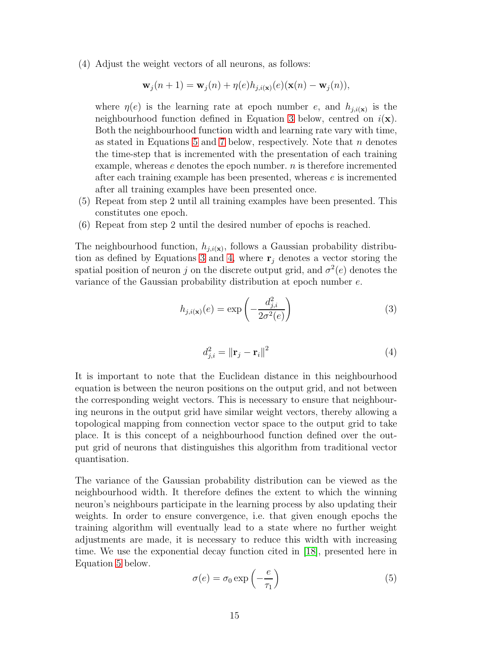(4) Adjust the weight vectors of all neurons, as follows:

$$
\mathbf{w}_j(n+1) = \mathbf{w}_j(n) + \eta(e)h_{j,i(\mathbf{x})}(e)(\mathbf{x}(n) - \mathbf{w}_j(n)),
$$

where  $\eta(e)$  is the learning rate at epoch number e, and  $h_{j,i(\mathbf{x})}$  is the neighbourhood function defined in Equation [3](#page-14-0) below, centred on  $i(\mathbf{x})$ . Both the neighbourhood function width and learning rate vary with time, as stated in Equations [5](#page-14-1) and [7](#page-15-0) below, respectively. Note that  $n$  denotes the time-step that is incremented with the presentation of each training example, whereas  $e$  denotes the epoch number.  $n$  is therefore incremented after each training example has been presented, whereas e is incremented after all training examples have been presented once.

- (5) Repeat from step 2 until all training examples have been presented. This constitutes one epoch.
- (6) Repeat from step 2 until the desired number of epochs is reached.

The neighbourhood function,  $h_{j,i(\mathbf{x})}$ , follows a Gaussian probability distribu-tion as defined by Equations [3](#page-14-0) and [4,](#page-14-2) where  $\mathbf{r}_i$  denotes a vector storing the spatial position of neuron j on the discrete output grid, and  $\sigma^2(e)$  denotes the variance of the Gaussian probability distribution at epoch number e.

<span id="page-14-0"></span>
$$
h_{j,i(\mathbf{x})}(e) = \exp\left(-\frac{d_{j,i}^2}{2\sigma^2(e)}\right) \tag{3}
$$

<span id="page-14-2"></span>
$$
d_{j,i}^2 = \left\|\mathbf{r}_j - \mathbf{r}_i\right\|^2\tag{4}
$$

It is important to note that the Euclidean distance in this neighbourhood equation is between the neuron positions on the output grid, and not between the corresponding weight vectors. This is necessary to ensure that neighbouring neurons in the output grid have similar weight vectors, thereby allowing a topological mapping from connection vector space to the output grid to take place. It is this concept of a neighbourhood function defined over the output grid of neurons that distinguishes this algorithm from traditional vector quantisation.

The variance of the Gaussian probability distribution can be viewed as the neighbourhood width. It therefore defines the extent to which the winning neuron's neighbours participate in the learning process by also updating their weights. In order to ensure convergence, i.e. that given enough epochs the training algorithm will eventually lead to a state where no further weight adjustments are made, it is necessary to reduce this width with increasing time. We use the exponential decay function cited in [\[18\]](#page-29-12), presented here in Equation [5](#page-14-1) below.

<span id="page-14-1"></span>
$$
\sigma(e) = \sigma_0 \exp\left(-\frac{e}{\tau_1}\right) \tag{5}
$$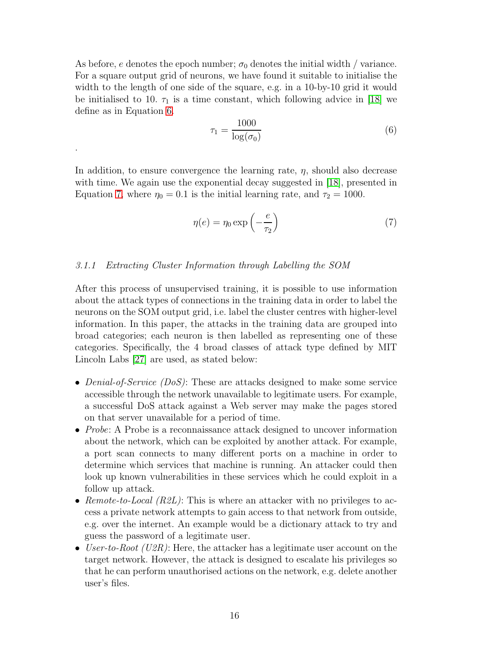As before, e denotes the epoch number;  $\sigma_0$  denotes the initial width / variance. For a square output grid of neurons, we have found it suitable to initialise the width to the length of one side of the square, e.g. in a 10-by-10 grid it would be initialised to 10.  $\tau_1$  is a time constant, which following advice in [\[18\]](#page-29-12) we define as in Equation [6.](#page-15-1)

<span id="page-15-1"></span>
$$
\tau_1 = \frac{1000}{\log(\sigma_0)}\tag{6}
$$

In addition, to ensure convergence the learning rate,  $\eta$ , should also decrease with time. We again use the exponential decay suggested in [\[18\]](#page-29-12), presented in Equation [7,](#page-15-0) where  $\eta_0 = 0.1$  is the initial learning rate, and  $\tau_2 = 1000$ .

<span id="page-15-0"></span>
$$
\eta(e) = \eta_0 \exp\left(-\frac{e}{\tau_2}\right) \tag{7}
$$

#### <span id="page-15-2"></span>3.1.1 Extracting Cluster Information through Labelling the SOM

.

After this process of unsupervised training, it is possible to use information about the attack types of connections in the training data in order to label the neurons on the SOM output grid, i.e. label the cluster centres with higher-level information. In this paper, the attacks in the training data are grouped into broad categories; each neuron is then labelled as representing one of these categories. Specifically, the 4 broad classes of attack type defined by MIT Lincoln Labs [\[27\]](#page-30-6) are used, as stated below:

- Denial-of-Service  $(DoS)$ : These are attacks designed to make some service accessible through the network unavailable to legitimate users. For example, a successful DoS attack against a Web server may make the pages stored on that server unavailable for a period of time.
- *Probe:* A Probe is a reconnaissance attack designed to uncover information about the network, which can be exploited by another attack. For example, a port scan connects to many different ports on a machine in order to determine which services that machine is running. An attacker could then look up known vulnerabilities in these services which he could exploit in a follow up attack.
- Remote-to-Local  $(R2L)$ : This is where an attacker with no privileges to access a private network attempts to gain access to that network from outside, e.g. over the internet. An example would be a dictionary attack to try and guess the password of a legitimate user.
- User-to-Root (U2R): Here, the attacker has a legitimate user account on the target network. However, the attack is designed to escalate his privileges so that he can perform unauthorised actions on the network, e.g. delete another user's files.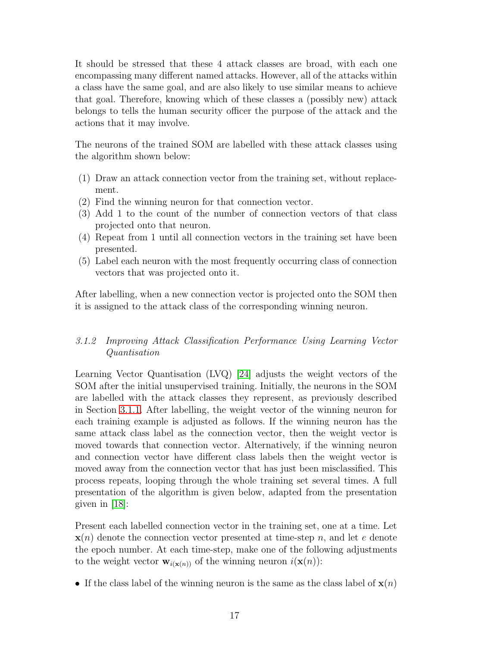It should be stressed that these 4 attack classes are broad, with each one encompassing many different named attacks. However, all of the attacks within a class have the same goal, and are also likely to use similar means to achieve that goal. Therefore, knowing which of these classes a (possibly new) attack belongs to tells the human security officer the purpose of the attack and the actions that it may involve.

The neurons of the trained SOM are labelled with these attack classes using the algorithm shown below:

- (1) Draw an attack connection vector from the training set, without replacement.
- (2) Find the winning neuron for that connection vector.
- (3) Add 1 to the count of the number of connection vectors of that class projected onto that neuron.
- (4) Repeat from 1 until all connection vectors in the training set have been presented.
- (5) Label each neuron with the most frequently occurring class of connection vectors that was projected onto it.

After labelling, when a new connection vector is projected onto the SOM then it is assigned to the attack class of the corresponding winning neuron.

# <span id="page-16-0"></span>3.1.2 Improving Attack Classification Performance Using Learning Vector Quantisation

Learning Vector Quantisation (LVQ) [\[24\]](#page-30-7) adjusts the weight vectors of the SOM after the initial unsupervised training. Initially, the neurons in the SOM are labelled with the attack classes they represent, as previously described in Section [3.1.1.](#page-15-2) After labelling, the weight vector of the winning neuron for each training example is adjusted as follows. If the winning neuron has the same attack class label as the connection vector, then the weight vector is moved towards that connection vector. Alternatively, if the winning neuron and connection vector have different class labels then the weight vector is moved away from the connection vector that has just been misclassified. This process repeats, looping through the whole training set several times. A full presentation of the algorithm is given below, adapted from the presentation given in [\[18\]](#page-29-12):

Present each labelled connection vector in the training set, one at a time. Let  $\mathbf{x}(n)$  denote the connection vector presented at time-step n, and let e denote the epoch number. At each time-step, make one of the following adjustments to the weight vector  $\mathbf{w}_{i(\mathbf{x}(n))}$  of the winning neuron  $i(\mathbf{x}(n))$ :

• If the class label of the winning neuron is the same as the class label of  $\mathbf{x}(n)$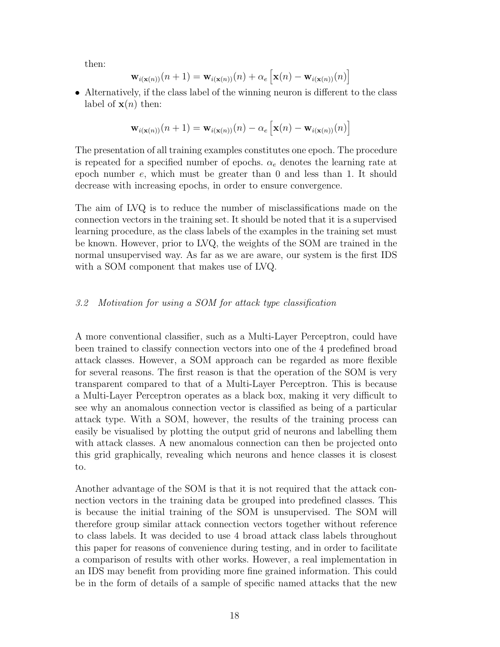then:

$$
\mathbf{w}_{i(\mathbf{x}(n))}(n+1) = \mathbf{w}_{i(\mathbf{x}(n))}(n) + \alpha_e \left[ \mathbf{x}(n) - \mathbf{w}_{i(\mathbf{x}(n))}(n) \right]
$$

• Alternatively, if the class label of the winning neuron is different to the class label of  $\mathbf{x}(n)$  then:

$$
\mathbf{w}_{i(\mathbf{x}(n))}(n+1) = \mathbf{w}_{i(\mathbf{x}(n))}(n) - \alpha_e \left[ \mathbf{x}(n) - \mathbf{w}_{i(\mathbf{x}(n))}(n) \right]
$$

The presentation of all training examples constitutes one epoch. The procedure is repeated for a specified number of epochs.  $\alpha_e$  denotes the learning rate at epoch number e, which must be greater than 0 and less than 1. It should decrease with increasing epochs, in order to ensure convergence.

The aim of LVQ is to reduce the number of misclassifications made on the connection vectors in the training set. It should be noted that it is a supervised learning procedure, as the class labels of the examples in the training set must be known. However, prior to LVQ, the weights of the SOM are trained in the normal unsupervised way. As far as we are aware, our system is the first IDS with a SOM component that makes use of LVQ.

#### 3.2 Motivation for using a SOM for attack type classification

A more conventional classifier, such as a Multi-Layer Perceptron, could have been trained to classify connection vectors into one of the 4 predefined broad attack classes. However, a SOM approach can be regarded as more flexible for several reasons. The first reason is that the operation of the SOM is very transparent compared to that of a Multi-Layer Perceptron. This is because a Multi-Layer Perceptron operates as a black box, making it very difficult to see why an anomalous connection vector is classified as being of a particular attack type. With a SOM, however, the results of the training process can easily be visualised by plotting the output grid of neurons and labelling them with attack classes. A new anomalous connection can then be projected onto this grid graphically, revealing which neurons and hence classes it is closest to.

Another advantage of the SOM is that it is not required that the attack connection vectors in the training data be grouped into predefined classes. This is because the initial training of the SOM is unsupervised. The SOM will therefore group similar attack connection vectors together without reference to class labels. It was decided to use 4 broad attack class labels throughout this paper for reasons of convenience during testing, and in order to facilitate a comparison of results with other works. However, a real implementation in an IDS may benefit from providing more fine grained information. This could be in the form of details of a sample of specific named attacks that the new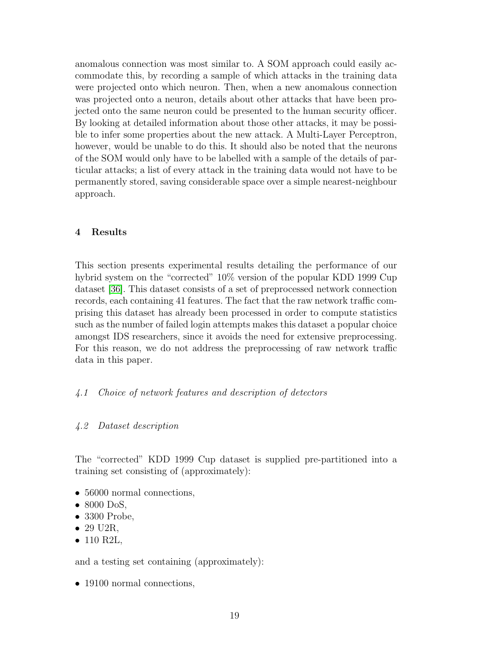anomalous connection was most similar to. A SOM approach could easily accommodate this, by recording a sample of which attacks in the training data were projected onto which neuron. Then, when a new anomalous connection was projected onto a neuron, details about other attacks that have been projected onto the same neuron could be presented to the human security officer. By looking at detailed information about those other attacks, it may be possible to infer some properties about the new attack. A Multi-Layer Perceptron, however, would be unable to do this. It should also be noted that the neurons of the SOM would only have to be labelled with a sample of the details of particular attacks; a list of every attack in the training data would not have to be permanently stored, saving considerable space over a simple nearest-neighbour approach.

# 4 Results

This section presents experimental results detailing the performance of our hybrid system on the "corrected" 10% version of the popular KDD 1999 Cup dataset [\[36\]](#page-31-1). This dataset consists of a set of preprocessed network connection records, each containing 41 features. The fact that the raw network traffic comprising this dataset has already been processed in order to compute statistics such as the number of failed login attempts makes this dataset a popular choice amongst IDS researchers, since it avoids the need for extensive preprocessing. For this reason, we do not address the preprocessing of raw network traffic data in this paper.

# 4.1 Choice of network features and description of detectors

# 4.2 Dataset description

The "corrected" KDD 1999 Cup dataset is supplied pre-partitioned into a training set consisting of (approximately):

- 56000 normal connections,
- 8000 DoS,
- 3300 Probe,
- 29 U2R,
- 110 R2L,

and a testing set containing (approximately):

• 19100 normal connections,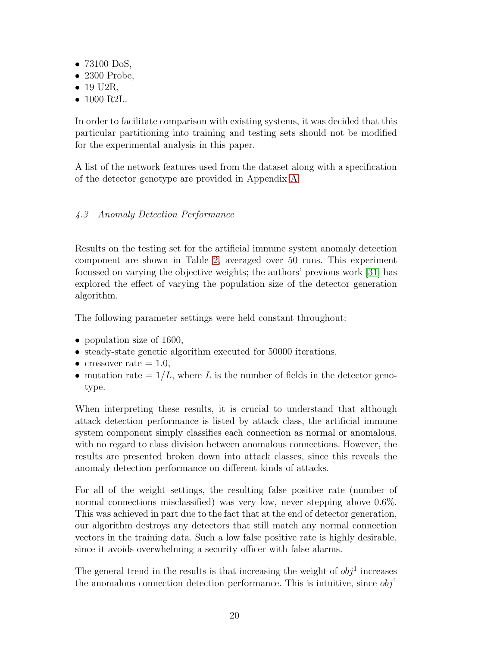- 73100 DoS.
- 2300 Probe,
- $\bullet$  19 U2R,
- 1000 R2L.

In order to facilitate comparison with existing systems, it was decided that this particular partitioning into training and testing sets should not be modified for the experimental analysis in this paper.

A list of the network features used from the dataset along with a specification of the detector genotype are provided in Appendix [A.](#page-26-0)

# <span id="page-19-0"></span>4.3 Anomaly Detection Performance

Results on the testing set for the artificial immune system anomaly detection component are shown in Table [2,](#page-20-0) averaged over 50 runs. This experiment focussed on varying the objective weights; the authors' previous work [\[31\]](#page-30-8) has explored the effect of varying the population size of the detector generation algorithm.

The following parameter settings were held constant throughout:

- population size of 1600,
- steady-state genetic algorithm executed for 50000 iterations,
- crossover rate  $= 1.0$ ,
- mutation rate  $= 1/L$ , where L is the number of fields in the detector genotype.

When interpreting these results, it is crucial to understand that although attack detection performance is listed by attack class, the artificial immune system component simply classifies each connection as normal or anomalous, with no regard to class division between anomalous connections. However, the results are presented broken down into attack classes, since this reveals the anomaly detection performance on different kinds of attacks.

For all of the weight settings, the resulting false positive rate (number of normal connections misclassified) was very low, never stepping above 0.6%. This was achieved in part due to the fact that at the end of detector generation, our algorithm destroys any detectors that still match any normal connection vectors in the training data. Such a low false positive rate is highly desirable, since it avoids overwhelming a security officer with false alarms.

The general trend in the results is that increasing the weight of  $obj<sup>1</sup>$  increases the anomalous connection detection performance. This is intuitive, since  $\omega b_i^1$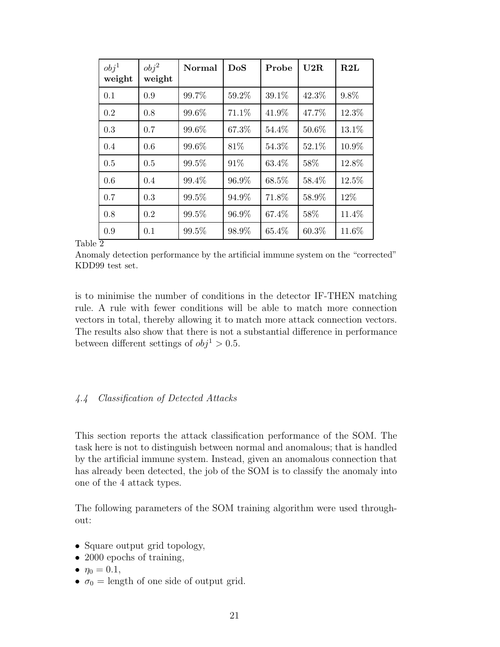| $obj^1$<br>weight | $obj^2$<br>weight | Normal | <b>DoS</b> | Probe | U2R      | R2L   |
|-------------------|-------------------|--------|------------|-------|----------|-------|
| 0.1               | 0.9               | 99.7%  | 59.2%      | 39.1% | 42.3%    | 9.8%  |
| 0.2               | 0.8               | 99.6%  | 71.1%      | 41.9% | 47.7%    | 12.3% |
| 0.3               | 0.7               | 99.6%  | 67.3%      | 54.4% | 50.6%    | 13.1% |
| 0.4               | 0.6               | 99.6%  | 81\%       | 54.3% | $52.1\%$ | 10.9% |
| 0.5               | 0.5               | 99.5%  | 91%        | 63.4% | 58%      | 12.8% |
| 0.6               | 0.4               | 99.4%  | 96.9%      | 68.5% | 58.4%    | 12.5% |
| 0.7               | 0.3               | 99.5%  | 94.9%      | 71.8% | 58.9%    | 12%   |
| 0.8               | 0.2               | 99.5%  | 96.9%      | 67.4% | 58%      | 11.4% |
| 0.9               | 0.1               | 99.5%  | 98.9%      | 65.4% | 60.3%    | 11.6% |

Table  $\overline{2}$ 

<span id="page-20-0"></span>Anomaly detection performance by the artificial immune system on the "corrected" KDD99 test set.

is to minimise the number of conditions in the detector IF-THEN matching rule. A rule with fewer conditions will be able to match more connection vectors in total, thereby allowing it to match more attack connection vectors. The results also show that there is not a substantial difference in performance between different settings of  $obj^1 > 0.5$ .

# <span id="page-20-1"></span>4.4 Classification of Detected Attacks

This section reports the attack classification performance of the SOM. The task here is not to distinguish between normal and anomalous; that is handled by the artificial immune system. Instead, given an anomalous connection that has already been detected, the job of the SOM is to classify the anomaly into one of the 4 attack types.

The following parameters of the SOM training algorithm were used throughout:

- Square output grid topology,
- 2000 epochs of training,
- $\eta_0 = 0.1$ ,
- $\sigma_0 =$  length of one side of output grid.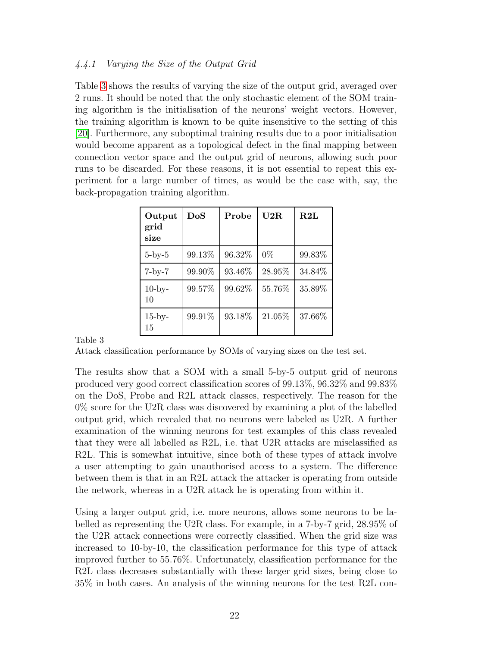# 4.4.1 Varying the Size of the Output Grid

Table [3](#page-21-0) shows the results of varying the size of the output grid, averaged over 2 runs. It should be noted that the only stochastic element of the SOM training algorithm is the initialisation of the neurons' weight vectors. However, the training algorithm is known to be quite insensitive to the setting of this [\[20\]](#page-30-9). Furthermore, any suboptimal training results due to a poor initialisation would become apparent as a topological defect in the final mapping between connection vector space and the output grid of neurons, allowing such poor runs to be discarded. For these reasons, it is not essential to repeat this experiment for a large number of times, as would be the case with, say, the back-propagation training algorithm.

| Output<br>grid<br>size | DoS    | Probe  | U2R    | R2L    |
|------------------------|--------|--------|--------|--------|
| $5$ -by- $5$           | 99.13% | 96.32% | $0\%$  | 99.83% |
| $7$ -by- $7$           | 99.90% | 93.46% | 28.95% | 34.84% |
| $10$ -by-<br>10        | 99.57% | 99.62% | 55.76% | 35.89% |
| $15$ -by-<br>15        | 99.91% | 93.18% | 21.05% | 37.66% |

#### Table 3

<span id="page-21-0"></span>Attack classification performance by SOMs of varying sizes on the test set.

The results show that a SOM with a small 5-by-5 output grid of neurons produced very good correct classification scores of 99.13%, 96.32% and 99.83% on the DoS, Probe and R2L attack classes, respectively. The reason for the 0% score for the U2R class was discovered by examining a plot of the labelled output grid, which revealed that no neurons were labeled as U2R. A further examination of the winning neurons for test examples of this class revealed that they were all labelled as R2L, i.e. that U2R attacks are misclassified as R2L. This is somewhat intuitive, since both of these types of attack involve a user attempting to gain unauthorised access to a system. The difference between them is that in an R2L attack the attacker is operating from outside the network, whereas in a U2R attack he is operating from within it.

Using a larger output grid, i.e. more neurons, allows some neurons to be labelled as representing the U2R class. For example, in a 7-by-7 grid, 28.95% of the U2R attack connections were correctly classified. When the grid size was increased to 10-by-10, the classification performance for this type of attack improved further to 55.76%. Unfortunately, classification performance for the R2L class decreases substantially with these larger grid sizes, being close to 35% in both cases. An analysis of the winning neurons for the test R2L con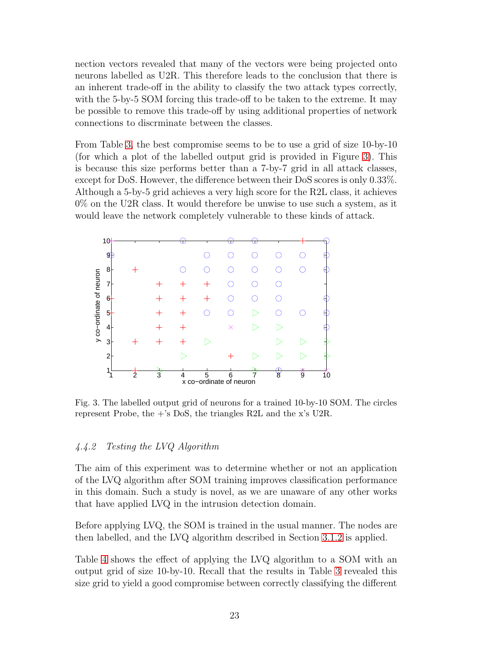nection vectors revealed that many of the vectors were being projected onto neurons labelled as U2R. This therefore leads to the conclusion that there is an inherent trade-off in the ability to classify the two attack types correctly, with the 5-by-5 SOM forcing this trade-off to be taken to the extreme. It may be possible to remove this trade-off by using additional properties of network connections to discrminate between the classes.

From Table [3,](#page-21-0) the best compromise seems to be to use a grid of size 10-by-10 (for which a plot of the labelled output grid is provided in Figure [3\)](#page-22-0). This is because this size performs better than a 7-by-7 grid in all attack classes, except for DoS. However, the difference between their DoS scores is only 0.33%. Although a 5-by-5 grid achieves a very high score for the R2L class, it achieves  $0\%$  on the U2R class. It would therefore be unwise to use such a system, as it would leave the network completely vulnerable to these kinds of attack.



<span id="page-22-0"></span>Fig. 3. The labelled output grid of neurons for a trained 10-by-10 SOM. The circles represent Probe, the  $+$ 's DoS, the triangles R2L and the x's U2R.

# 4.4.2 Testing the LVQ Algorithm

The aim of this experiment was to determine whether or not an application of the LVQ algorithm after SOM training improves classification performance in this domain. Such a study is novel, as we are unaware of any other works that have applied LVQ in the intrusion detection domain.

Before applying LVQ, the SOM is trained in the usual manner. The nodes are then labelled, and the LVQ algorithm described in Section [3.1.2](#page-16-0) is applied.

Table [4](#page-23-0) shows the effect of applying the LVQ algorithm to a SOM with an output grid of size 10-by-10. Recall that the results in Table [3](#page-21-0) revealed this size grid to yield a good compromise between correctly classifying the different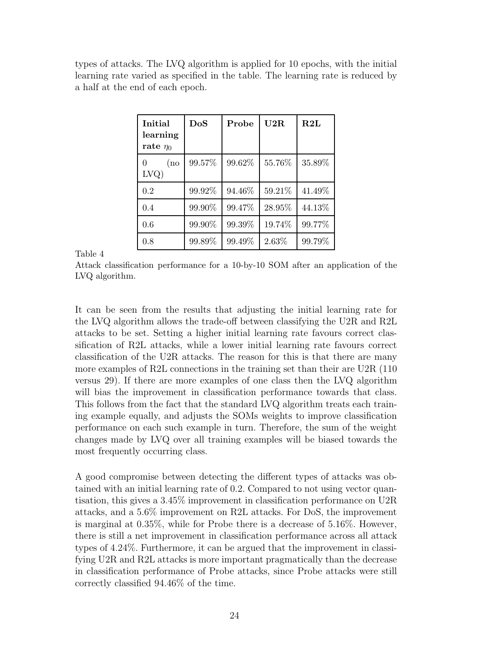types of attacks. The LVQ algorithm is applied for 10 epochs, with the initial learning rate varied as specified in the table. The learning rate is reduced by a half at the end of each epoch.

| Initial<br>learning<br>rate $\eta_0$ | DoS    | Probe   | $_{\rm U2R}$ | R2L    |
|--------------------------------------|--------|---------|--------------|--------|
| (no<br>0<br>LVQ                      | 99.57% | 99.62%  | 55.76%       | 35.89% |
| 0.2                                  | 99.92% | 94.46\% | 59.21%       | 41.49% |
| 0.4                                  | 99.90% | 99.47\% | 28.95%       | 44.13% |
| 0.6                                  | 99.90% | 99.39%  | 19.74%       | 99.77% |
| 0.8                                  | 99.89% | 99.49%  | 2.63%        | 99.79% |

Table 4

<span id="page-23-0"></span>Attack classification performance for a 10-by-10 SOM after an application of the LVQ algorithm.

It can be seen from the results that adjusting the initial learning rate for the LVQ algorithm allows the trade-off between classifying the U2R and R2L attacks to be set. Setting a higher initial learning rate favours correct classification of R2L attacks, while a lower initial learning rate favours correct classification of the U2R attacks. The reason for this is that there are many more examples of R2L connections in the training set than their are U2R (110 versus 29). If there are more examples of one class then the LVQ algorithm will bias the improvement in classification performance towards that class. This follows from the fact that the standard LVQ algorithm treats each training example equally, and adjusts the SOMs weights to improve classification performance on each such example in turn. Therefore, the sum of the weight changes made by LVQ over all training examples will be biased towards the most frequently occurring class.

A good compromise between detecting the different types of attacks was obtained with an initial learning rate of 0.2. Compared to not using vector quantisation, this gives a 3.45% improvement in classification performance on U2R attacks, and a 5.6% improvement on R2L attacks. For DoS, the improvement is marginal at 0.35%, while for Probe there is a decrease of 5.16%. However, there is still a net improvement in classification performance across all attack types of 4.24%. Furthermore, it can be argued that the improvement in classifying U2R and R2L attacks is more important pragmatically than the decrease in classification performance of Probe attacks, since Probe attacks were still correctly classified 94.46% of the time.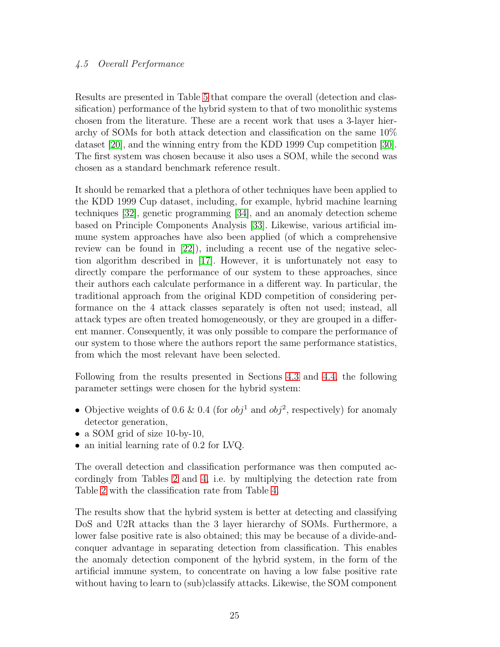# 4.5 Overall Performance

Results are presented in Table [5](#page-25-0) that compare the overall (detection and classification) performance of the hybrid system to that of two monolithic systems chosen from the literature. These are a recent work that uses a 3-layer hierarchy of SOMs for both attack detection and classification on the same 10% dataset [\[20\]](#page-30-9), and the winning entry from the KDD 1999 Cup competition [\[30\]](#page-30-10). The first system was chosen because it also uses a SOM, while the second was chosen as a standard benchmark reference result.

It should be remarked that a plethora of other techniques have been applied to the KDD 1999 Cup dataset, including, for example, hybrid machine learning techniques [\[32\]](#page-30-11), genetic programming [\[34\]](#page-31-2), and an anomaly detection scheme based on Principle Components Analysis [\[33\]](#page-30-12). Likewise, various artificial immune system approaches have also been applied (of which a comprehensive review can be found in  $[22]$ , including a recent use of the negative selection algorithm described in [\[17\]](#page-29-13). However, it is unfortunately not easy to directly compare the performance of our system to these approaches, since their authors each calculate performance in a different way. In particular, the traditional approach from the original KDD competition of considering performance on the 4 attack classes separately is often not used; instead, all attack types are often treated homogeneously, or they are grouped in a different manner. Consequently, it was only possible to compare the performance of our system to those where the authors report the same performance statistics, from which the most relevant have been selected.

Following from the results presented in Sections [4.3](#page-19-0) and [4.4,](#page-20-1) the following parameter settings were chosen for the hybrid system:

- Objective weights of 0.6 & 0.4 (for  $obj^1$  and  $obj^2$ , respectively) for anomaly detector generation,
- a SOM grid of size 10-by-10,
- an initial learning rate of 0.2 for LVQ.

The overall detection and classification performance was then computed accordingly from Tables [2](#page-20-0) and [4,](#page-23-0) i.e. by multiplying the detection rate from Table [2](#page-20-0) with the classification rate from Table [4.](#page-23-0)

The results show that the hybrid system is better at detecting and classifying DoS and U2R attacks than the 3 layer hierarchy of SOMs. Furthermore, a lower false positive rate is also obtained; this may be because of a divide-andconquer advantage in separating detection from classification. This enables the anomaly detection component of the hybrid system, in the form of the artificial immune system, to concentrate on having a low false positive rate without having to learn to (sub)classify attacks. Likewise, the SOM component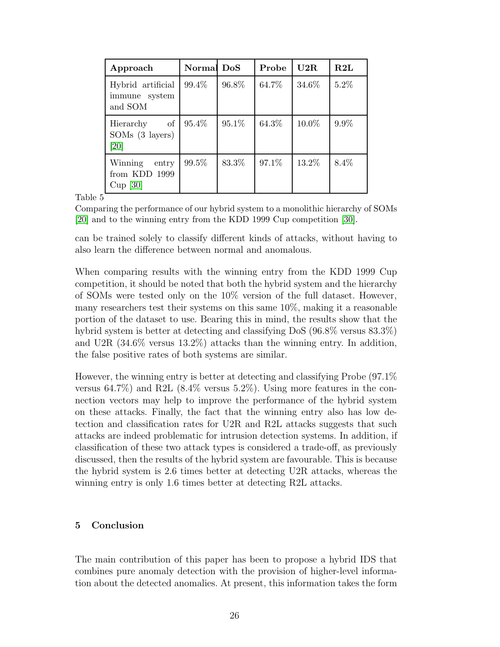| Approach                                                 | <b>Normal DoS</b> |        | Probe  | U2R   | R2L     |
|----------------------------------------------------------|-------------------|--------|--------|-------|---------|
| Hybrid artificial<br>immune system<br>and SOM            | 99.4%             | 96.8%  | 64.7\% | 34.6% | $5.2\%$ |
| of<br>Hierarchy<br>SOMs (3 layers)<br>$\left[ 20\right]$ | $95.4\%$          | 95.1\% | 64.3\% | 10.0% | $9.9\%$ |
| Winning<br>entry<br>from KDD 1999<br>$Cup$ [30]          | 99.5%             | 83.3%  | 97.1%  | 13.2% | $8.4\%$ |

Table 5

<span id="page-25-0"></span>Comparing the performance of our hybrid system to a monolithic hierarchy of SOMs [\[20\]](#page-30-9) and to the winning entry from the KDD 1999 Cup competition [\[30\]](#page-30-10).

can be trained solely to classify different kinds of attacks, without having to also learn the difference between normal and anomalous.

When comparing results with the winning entry from the KDD 1999 Cup competition, it should be noted that both the hybrid system and the hierarchy of SOMs were tested only on the 10% version of the full dataset. However, many researchers test their systems on this same 10%, making it a reasonable portion of the dataset to use. Bearing this in mind, the results show that the hybrid system is better at detecting and classifying DoS (96.8% versus 83.3%) and U2R (34.6% versus 13.2%) attacks than the winning entry. In addition, the false positive rates of both systems are similar.

However, the winning entry is better at detecting and classifying Probe (97.1% versus 64.7%) and R2L (8.4% versus 5.2%). Using more features in the connection vectors may help to improve the performance of the hybrid system on these attacks. Finally, the fact that the winning entry also has low detection and classification rates for U2R and R2L attacks suggests that such attacks are indeed problematic for intrusion detection systems. In addition, if classification of these two attack types is considered a trade-off, as previously discussed, then the results of the hybrid system are favourable. This is because the hybrid system is 2.6 times better at detecting U2R attacks, whereas the winning entry is only 1.6 times better at detecting R2L attacks.

# 5 Conclusion

The main contribution of this paper has been to propose a hybrid IDS that combines pure anomaly detection with the provision of higher-level information about the detected anomalies. At present, this information takes the form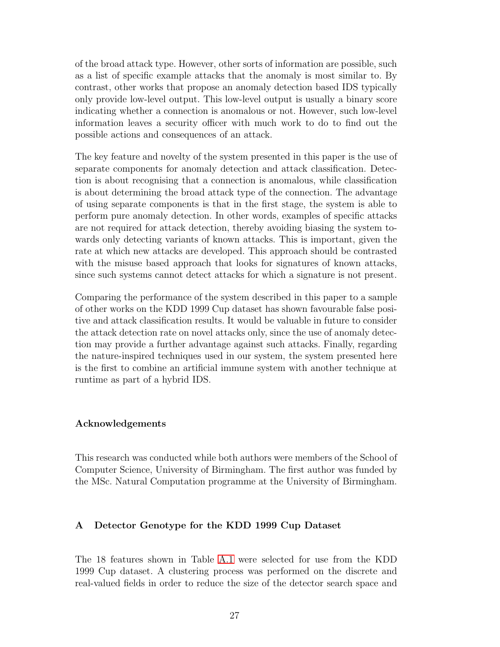of the broad attack type. However, other sorts of information are possible, such as a list of specific example attacks that the anomaly is most similar to. By contrast, other works that propose an anomaly detection based IDS typically only provide low-level output. This low-level output is usually a binary score indicating whether a connection is anomalous or not. However, such low-level information leaves a security officer with much work to do to find out the possible actions and consequences of an attack.

The key feature and novelty of the system presented in this paper is the use of separate components for anomaly detection and attack classification. Detection is about recognising that a connection is anomalous, while classification is about determining the broad attack type of the connection. The advantage of using separate components is that in the first stage, the system is able to perform pure anomaly detection. In other words, examples of specific attacks are not required for attack detection, thereby avoiding biasing the system towards only detecting variants of known attacks. This is important, given the rate at which new attacks are developed. This approach should be contrasted with the misuse based approach that looks for signatures of known attacks, since such systems cannot detect attacks for which a signature is not present.

Comparing the performance of the system described in this paper to a sample of other works on the KDD 1999 Cup dataset has shown favourable false positive and attack classification results. It would be valuable in future to consider the attack detection rate on novel attacks only, since the use of anomaly detection may provide a further advantage against such attacks. Finally, regarding the nature-inspired techniques used in our system, the system presented here is the first to combine an artificial immune system with another technique at runtime as part of a hybrid IDS.

# Acknowledgements

This research was conducted while both authors were members of the School of Computer Science, University of Birmingham. The first author was funded by the MSc. Natural Computation programme at the University of Birmingham.

#### <span id="page-26-0"></span>A Detector Genotype for the KDD 1999 Cup Dataset

The 18 features shown in Table [A.1](#page-27-0) were selected for use from the KDD 1999 Cup dataset. A clustering process was performed on the discrete and real-valued fields in order to reduce the size of the detector search space and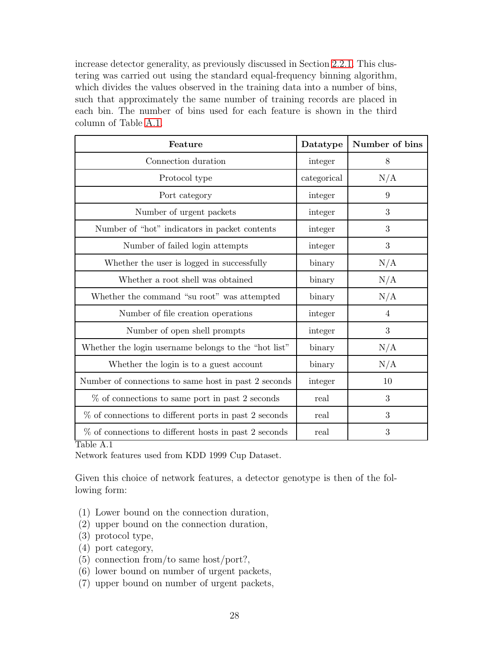increase detector generality, as previously discussed in Section [2.2.1.](#page-8-0) This clustering was carried out using the standard equal-frequency binning algorithm, which divides the values observed in the training data into a number of bins, such that approximately the same number of training records are placed in each bin. The number of bins used for each feature is shown in the third column of Table [A.1.](#page-27-0)

| Feature                                                 | Datatype    | Number of bins |
|---------------------------------------------------------|-------------|----------------|
| Connection duration                                     | integer     | 8              |
| Protocol type                                           | categorical | N/A            |
| Port category                                           | integer     | 9              |
| Number of urgent packets                                | integer     | 3              |
| Number of "hot" indicators in packet contents           | integer     | 3              |
| Number of failed login attempts                         | integer     | 3              |
| Whether the user is logged in successfully              | binary      | N/A            |
| Whether a root shell was obtained                       | binary      | N/A            |
| Whether the command "su root" was attempted             | binary      | N/A            |
| Number of file creation operations                      | integer     | $\overline{4}$ |
| Number of open shell prompts                            | integer     | 3              |
| Whether the login username belongs to the "hot list"    | binary      | N/A            |
| Whether the login is to a guest account                 | binary      | N/A            |
| Number of connections to same host in past 2 seconds    | integer     | 10             |
| $%$ of connections to same port in past 2 seconds       | real        | 3              |
| $%$ of connections to different ports in past 2 seconds | real        | 3              |
| $%$ of connections to different hosts in past 2 seconds | real        | 3              |

Table A.1

<span id="page-27-0"></span>Network features used from KDD 1999 Cup Dataset.

Given this choice of network features, a detector genotype is then of the following form:

- (1) Lower bound on the connection duration,
- (2) upper bound on the connection duration,
- (3) protocol type,
- (4) port category,
- (5) connection from/to same host/port?,
- (6) lower bound on number of urgent packets,
- (7) upper bound on number of urgent packets,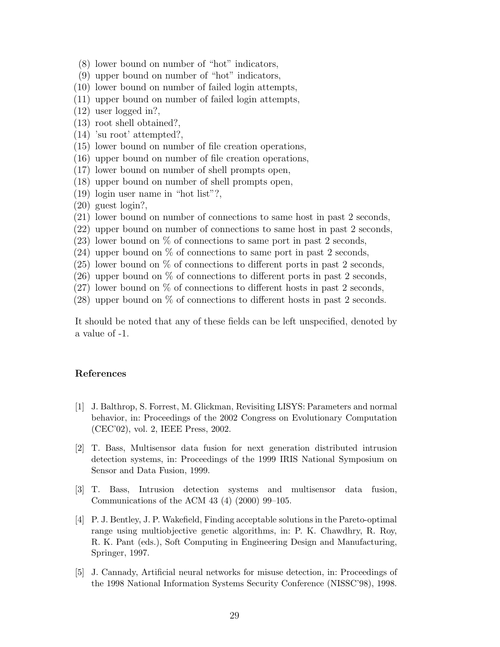- (8) lower bound on number of "hot" indicators,
- (9) upper bound on number of "hot" indicators,
- (10) lower bound on number of failed login attempts,
- (11) upper bound on number of failed login attempts,
- (12) user logged in?,
- (13) root shell obtained?,
- (14) 'su root' attempted?,
- (15) lower bound on number of file creation operations,
- (16) upper bound on number of file creation operations,
- (17) lower bound on number of shell prompts open,
- (18) upper bound on number of shell prompts open,
- (19) login user name in "hot list"?,
- (20) guest login?,
- (21) lower bound on number of connections to same host in past 2 seconds,
- (22) upper bound on number of connections to same host in past 2 seconds,
- $(23)$  lower bound on  $\%$  of connections to same port in past 2 seconds,
- (24) upper bound on  $\%$  of connections to same port in past 2 seconds,
- $(25)$  lower bound on % of connections to different ports in past 2 seconds,
- (26) upper bound on  $\%$  of connections to different ports in past 2 seconds,
- $(27)$  lower bound on % of connections to different hosts in past 2 seconds,
- $(28)$  upper bound on % of connections to different hosts in past 2 seconds.

It should be noted that any of these fields can be left unspecified, denoted by a value of -1.

#### <span id="page-28-3"></span>References

- [1] J. Balthrop, S. Forrest, M. Glickman, Revisiting LISYS: Parameters and normal behavior, in: Proceedings of the 2002 Congress on Evolutionary Computation (CEC'02), vol. 2, IEEE Press, 2002.
- <span id="page-28-0"></span>[2] T. Bass, Multisensor data fusion for next generation distributed intrusion detection systems, in: Proceedings of the 1999 IRIS National Symposium on Sensor and Data Fusion, 1999.
- <span id="page-28-1"></span>[3] T. Bass, Intrusion detection systems and multisensor data fusion, Communications of the ACM 43 (4) (2000) 99–105.
- <span id="page-28-4"></span>[4] P. J. Bentley, J. P. Wakefield, Finding acceptable solutions in the Pareto-optimal range using multiobjective genetic algorithms, in: P. K. Chawdhry, R. Roy, R. K. Pant (eds.), Soft Computing in Engineering Design and Manufacturing, Springer, 1997.
- <span id="page-28-2"></span>[5] J. Cannady, Artificial neural networks for misuse detection, in: Proceedings of the 1998 National Information Systems Security Conference (NISSC'98), 1998.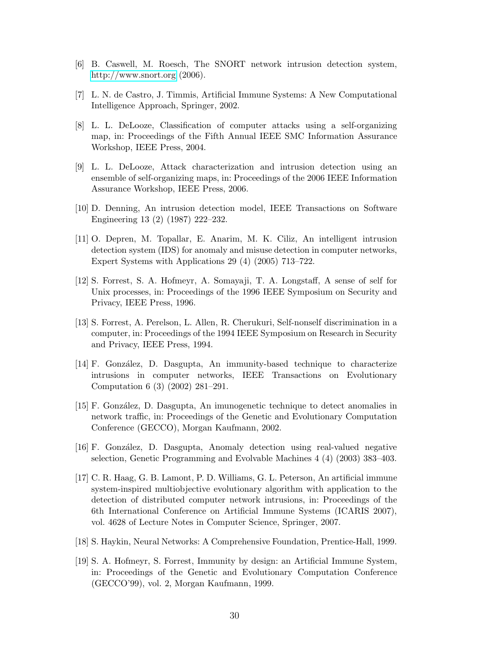- <span id="page-29-5"></span><span id="page-29-1"></span>[6] B. Caswell, M. Roesch, The SNORT network intrusion detection system, <http://www.snort.org> (2006).
- <span id="page-29-2"></span>[7] L. N. de Castro, J. Timmis, Artificial Immune Systems: A New Computational Intelligence Approach, Springer, 2002.
- [8] L. L. DeLooze, Classification of computer attacks using a self-organizing map, in: Proceedings of the Fifth Annual IEEE SMC Information Assurance Workshop, IEEE Press, 2004.
- <span id="page-29-3"></span>[9] L. L. DeLooze, Attack characterization and intrusion detection using an ensemble of self-organizing maps, in: Proceedings of the 2006 IEEE Information Assurance Workshop, IEEE Press, 2006.
- <span id="page-29-4"></span><span id="page-29-0"></span>[10] D. Denning, An intrusion detection model, IEEE Transactions on Software Engineering 13 (2) (1987) 222–232.
- [11] O. Depren, M. Topallar, E. Anarim, M. K. Ciliz, An intelligent intrusion detection system (IDS) for anomaly and misuse detection in computer networks, Expert Systems with Applications 29 (4) (2005) 713–722.
- <span id="page-29-7"></span>[12] S. Forrest, S. A. Hofmeyr, A. Somayaji, T. A. Longstaff, A sense of self for Unix processes, in: Proceedings of the 1996 IEEE Symposium on Security and Privacy, IEEE Press, 1996.
- <span id="page-29-6"></span>[13] S. Forrest, A. Perelson, L. Allen, R. Cherukuri, Self-nonself discrimination in a computer, in: Proceedings of the 1994 IEEE Symposium on Research in Security and Privacy, IEEE Press, 1994.
- <span id="page-29-11"></span>[14] F. González, D. Dasgupta, An immunity-based technique to characterize intrusions in computer networks, IEEE Transactions on Evolutionary Computation 6 (3) (2002) 281–291.
- <span id="page-29-10"></span>[15] F. Gonz´alez, D. Dasgupta, An imunogenetic technique to detect anomalies in network traffic, in: Proceedings of the Genetic and Evolutionary Computation Conference (GECCO), Morgan Kaufmann, 2002.
- <span id="page-29-9"></span>[16] F. Gonz´alez, D. Dasgupta, Anomaly detection using real-valued negative selection, Genetic Programming and Evolvable Machines 4 (4) (2003) 383–403.
- <span id="page-29-13"></span>[17] C. R. Haag, G. B. Lamont, P. D. Williams, G. L. Peterson, An artificial immune system-inspired multiobjective evolutionary algorithm with application to the detection of distributed computer network intrusions, in: Proceedings of the 6th International Conference on Artificial Immune Systems (ICARIS 2007), vol. 4628 of Lecture Notes in Computer Science, Springer, 2007.
- <span id="page-29-12"></span><span id="page-29-8"></span>[18] S. Haykin, Neural Networks: A Comprehensive Foundation, Prentice-Hall, 1999.
- [19] S. A. Hofmeyr, S. Forrest, Immunity by design: an Artificial Immune System, in: Proceedings of the Genetic and Evolutionary Computation Conference (GECCO'99), vol. 2, Morgan Kaufmann, 1999.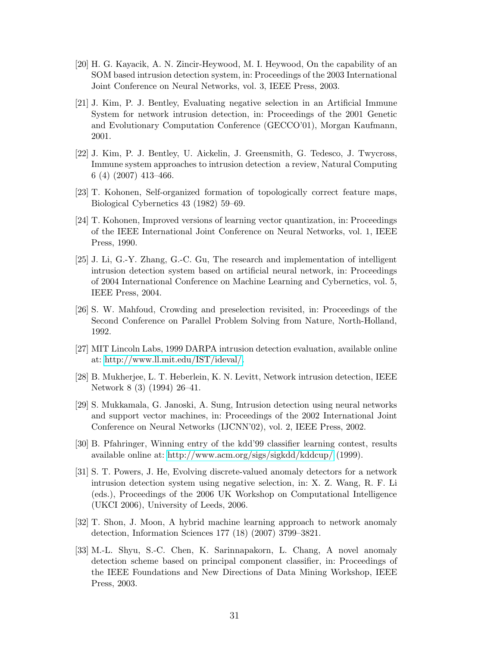- <span id="page-30-9"></span>[20] H. G. Kayacik, A. N. Zincir-Heywood, M. I. Heywood, On the capability of an SOM based intrusion detection system, in: Proceedings of the 2003 International Joint Conference on Neural Networks, vol. 3, IEEE Press, 2003.
- <span id="page-30-4"></span>[21] J. Kim, P. J. Bentley, Evaluating negative selection in an Artificial Immune System for network intrusion detection, in: Proceedings of the 2001 Genetic and Evolutionary Computation Conference (GECCO'01), Morgan Kaufmann, 2001.
- <span id="page-30-13"></span>[22] J. Kim, P. J. Bentley, U. Aickelin, J. Greensmith, G. Tedesco, J. Twycross, Immune system approaches to intrusion detection a review, Natural Computing 6 (4) (2007) 413–466.
- <span id="page-30-7"></span><span id="page-30-1"></span>[23] T. Kohonen, Self-organized formation of topologically correct feature maps, Biological Cybernetics 43 (1982) 59–69.
- [24] T. Kohonen, Improved versions of learning vector quantization, in: Proceedings of the IEEE International Joint Conference on Neural Networks, vol. 1, IEEE Press, 1990.
- <span id="page-30-3"></span>[25] J. Li, G.-Y. Zhang, G.-C. Gu, The research and implementation of intelligent intrusion detection system based on artificial neural network, in: Proceedings of 2004 International Conference on Machine Learning and Cybernetics, vol. 5, IEEE Press, 2004.
- <span id="page-30-5"></span>[26] S. W. Mahfoud, Crowding and preselection revisited, in: Proceedings of the Second Conference on Parallel Problem Solving from Nature, North-Holland, 1992.
- <span id="page-30-6"></span><span id="page-30-0"></span>[27] MIT Lincoln Labs, 1999 DARPA intrusion detection evaluation, available online at: [http://www.ll.mit.edu/IST/ideval/.](http://www.ll.mit.edu/IST/ideval/)
- <span id="page-30-2"></span>[28] B. Mukherjee, L. T. Heberlein, K. N. Levitt, Network intrusion detection, IEEE Network 8 (3) (1994) 26–41.
- [29] S. Mukkamala, G. Janoski, A. Sung, Intrusion detection using neural networks and support vector machines, in: Proceedings of the 2002 International Joint Conference on Neural Networks (IJCNN'02), vol. 2, IEEE Press, 2002.
- <span id="page-30-10"></span>[30] B. Pfahringer, Winning entry of the kdd'99 classifier learning contest, results available online at:<http://www.acm.org/sigs/sigkdd/kddcup/> (1999).
- <span id="page-30-8"></span>[31] S. T. Powers, J. He, Evolving discrete-valued anomaly detectors for a network intrusion detection system using negative selection, in: X. Z. Wang, R. F. Li (eds.), Proceedings of the 2006 UK Workshop on Computational Intelligence (UKCI 2006), University of Leeds, 2006.
- <span id="page-30-11"></span>[32] T. Shon, J. Moon, A hybrid machine learning approach to network anomaly detection, Information Sciences 177 (18) (2007) 3799–3821.
- <span id="page-30-12"></span>[33] M.-L. Shyu, S.-C. Chen, K. Sarinnapakorn, L. Chang, A novel anomaly detection scheme based on principal component classifier, in: Proceedings of the IEEE Foundations and New Directions of Data Mining Workshop, IEEE Press, 2003.